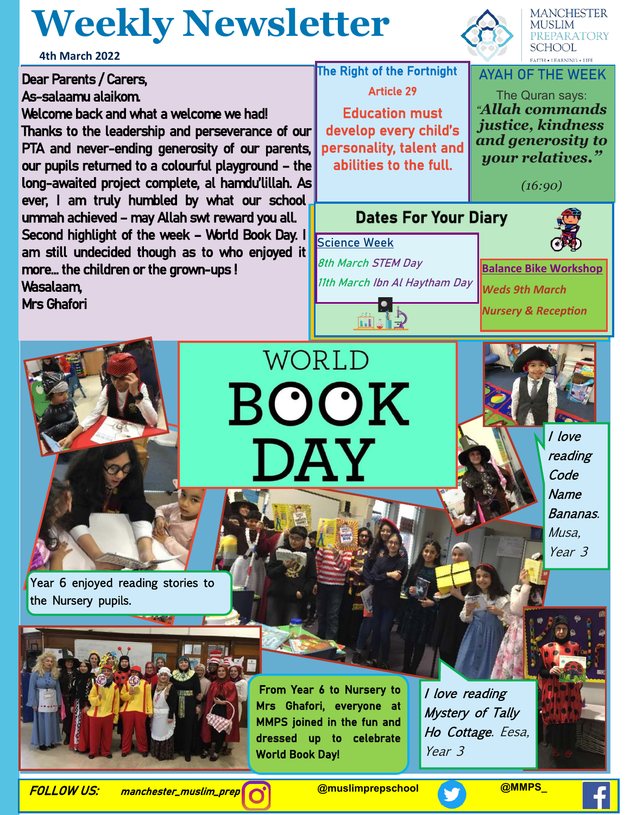## **Weekly Newsletter**



**MANCHESTER** MUSLIM PREPARATORY **SCHOOL** 

**AYAH OF THE WEEK**

The Quran says: *"Allah commands justice, kindness and generosity to your relatives."* 

*(16:90)*

**4th March 2022 The Right of the Fortnight** Dear Parents / Carers, Article 29 As-salaamu alaikom. Welcome back and what a welcome we had! Education must develop every child's Thanks to the leadership and perseverance of our PTA and never-ending generosity of our parents, personality, talent and our pupils returned to a colourful playground – the abilities to the full. long-awaited project complete, al hamdu'lillah. As ever, I am truly humbled by what our school I **Dates For Your Diary** ummah achieved – may Allah swt reward you all. Second highlight of the week – World Book Day. I **Science Week** am still undecided though as to who enjoyed it **8th March STEM Day** more… the children or the grown-ups ! **11th March Ibn Al Haytham Day** Wasalaam, Mrs Ghafori ini ang



**Balance Bike Workshop**

*Weds 9th March Nursery & Reception*

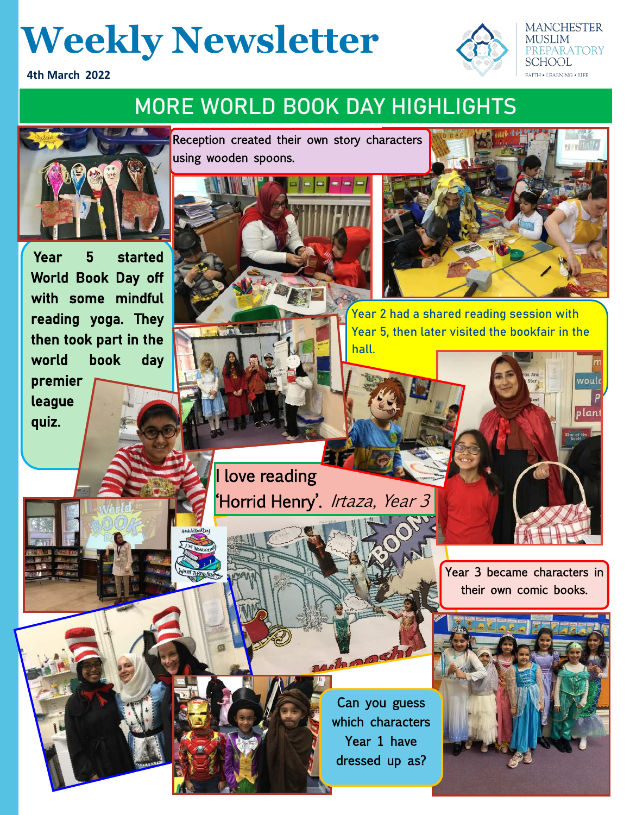## **Weekly Newsletter**

**4th March 2022**

#### **MORE WORLD BOOK DAY HIGHLIGHTS**



Year 5 started World Book Day off with some mindful reading yoga. They then took part in the world book day premier league quiz.

Reception created their own story characters using wooden spoons.



**MANCHESTER MUSLIM** 

**REPARATORY** 

vould

plant

SCHOOL **FAITH • LEARNING • LIFE** 

**Year 2 had a shared reading session with Year 5, then later visited the bookfair in the hall.**

I love reading **Horrid Henry**'. *Irtaza, Year 3* 

> Year 3 became characters in their own comic books.



whoosh